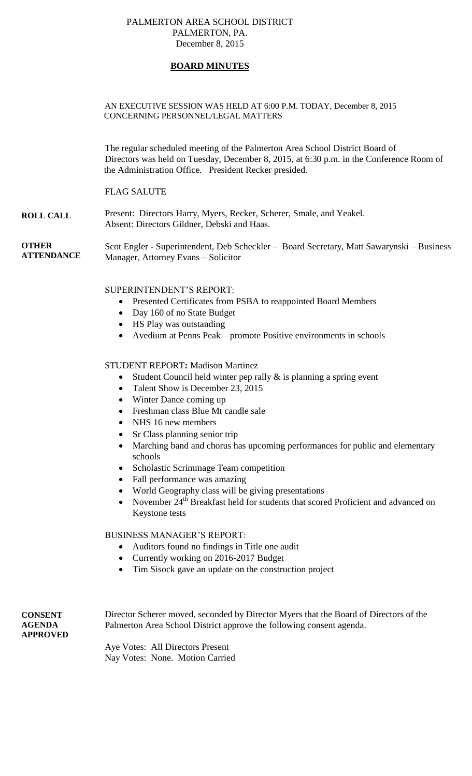### PALMERTON AREA SCHOOL DISTRICT PALMERTON, PA. December 8, 2015

# **BOARD MINUTES**

### AN EXECUTIVE SESSION WAS HELD AT 6:00 P.M. TODAY, December 8, 2015 CONCERNING PERSONNEL/LEGAL MATTERS

The regular scheduled meeting of the Palmerton Area School District Board of Directors was held on Tuesday, December 8, 2015, at 6:30 p.m. in the Conference Room of the Administration Office. President Recker presided.

# FLAG SALUTE

**ROLL CALL** Present: Directors Harry, Myers, Recker, Scherer, Smale, and Yeakel. Absent: Directors Gildner, Debski and Haas.

**OTHER ATTENDANCE** Scot Engler - Superintendent, Deb Scheckler – Board Secretary, Matt Sawarynski – Business Manager, Attorney Evans – Solicitor

## SUPERINTENDENT'S REPORT:

- Presented Certificates from PSBA to reappointed Board Members
- Day 160 of no State Budget
- HS Play was outstanding
- Avedium at Penns Peak promote Positive environments in schools

### STUDENT REPORT**:** Madison Martinez

- Student Council held winter pep rally  $\&$  is planning a spring event
- Talent Show is December 23, 2015
- Winter Dance coming up
- Freshman class Blue Mt candle sale
- NHS 16 new members
- Sr Class planning senior trip
- Marching band and chorus has upcoming performances for public and elementary schools
- Scholastic Scrimmage Team competition
- Fall performance was amazing
- World Geography class will be giving presentations
- November  $24<sup>th</sup>$  Breakfast held for students that scored Proficient and advanced on Keystone tests

### BUSINESS MANAGER'S REPORT:

- Auditors found no findings in Title one audit
- Currently working on 2016-2017 Budget
- Tim Sisock gave an update on the construction project

**CONSENT AGENDA APPROVED** Director Scherer moved, seconded by Director Myers that the Board of Directors of the Palmerton Area School District approve the following consent agenda.

Aye Votes: All Directors Present Nay Votes: None. Motion Carried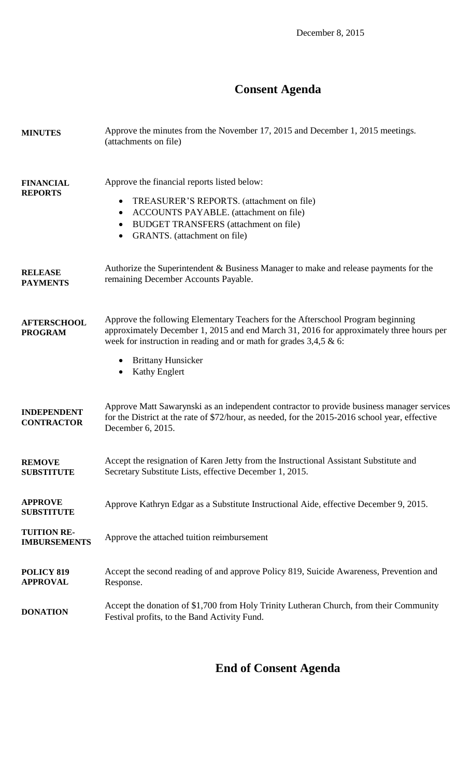# **Consent Agenda**

| <b>MINUTES</b>                            | Approve the minutes from the November 17, 2015 and December 1, 2015 meetings.<br>(attachments on file)                                                                                                                                                                                                                |
|-------------------------------------------|-----------------------------------------------------------------------------------------------------------------------------------------------------------------------------------------------------------------------------------------------------------------------------------------------------------------------|
| <b>FINANCIAL</b><br><b>REPORTS</b>        | Approve the financial reports listed below:<br>TREASURER'S REPORTS. (attachment on file)<br>$\bullet$<br>ACCOUNTS PAYABLE. (attachment on file)<br>$\bullet$<br><b>BUDGET TRANSFERS</b> (attachment on file)<br>$\bullet$<br>GRANTS. (attachment on file)<br>$\bullet$                                                |
| <b>RELEASE</b><br><b>PAYMENTS</b>         | Authorize the Superintendent & Business Manager to make and release payments for the<br>remaining December Accounts Payable.                                                                                                                                                                                          |
| <b>AFTERSCHOOL</b><br><b>PROGRAM</b>      | Approve the following Elementary Teachers for the Afterschool Program beginning<br>approximately December 1, 2015 and end March 31, 2016 for approximately three hours per<br>week for instruction in reading and or math for grades $3,4,5 \& 6$ :<br><b>Brittany Hunsicker</b><br>$\bullet$<br><b>Kathy Englert</b> |
| <b>INDEPENDENT</b><br><b>CONTRACTOR</b>   | Approve Matt Sawarynski as an independent contractor to provide business manager services<br>for the District at the rate of \$72/hour, as needed, for the 2015-2016 school year, effective<br>December 6, 2015.                                                                                                      |
| <b>REMOVE</b><br><b>SUBSTITUTE</b>        | Accept the resignation of Karen Jetty from the Instructional Assistant Substitute and<br>Secretary Substitute Lists, effective December 1, 2015.                                                                                                                                                                      |
| <b>APPROVE</b><br><b>SUBSTITUTE</b>       | Approve Kathryn Edgar as a Substitute Instructional Aide, effective December 9, 2015.                                                                                                                                                                                                                                 |
| <b>TUITION RE-</b><br><b>IMBURSEMENTS</b> | Approve the attached tuition reimbursement                                                                                                                                                                                                                                                                            |
| POLICY 819<br><b>APPROVAL</b>             | Accept the second reading of and approve Policy 819, Suicide Awareness, Prevention and<br>Response.                                                                                                                                                                                                                   |
| <b>DONATION</b>                           | Accept the donation of \$1,700 from Holy Trinity Lutheran Church, from their Community<br>Festival profits, to the Band Activity Fund.                                                                                                                                                                                |

# **End of Consent Agenda**